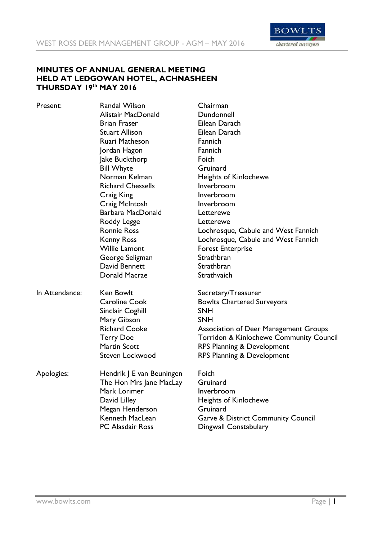

## **MINUTES OF ANNUAL GENERAL MEETING HELD AT LEDGOWAN HOTEL, ACHNASHEEN THURSDAY 19th MAY 2016**

| Present:       | <b>Randal Wilson</b>      | Chairman                                           |
|----------------|---------------------------|----------------------------------------------------|
|                | Alistair MacDonald        | Dundonnell                                         |
|                | <b>Brian Fraser</b>       | Eilean Darach                                      |
|                | <b>Stuart Allison</b>     | Eilean Darach                                      |
|                | <b>Ruari Matheson</b>     | Fannich                                            |
|                | Jordan Hagon              | Fannich                                            |
|                | Jake Buckthorp            | Foich                                              |
|                | <b>Bill Whyte</b>         | Gruinard                                           |
|                | Norman Kelman             | <b>Heights of Kinlochewe</b>                       |
|                | <b>Richard Chessells</b>  | Inverbroom                                         |
|                | <b>Craig King</b>         | Inverbroom                                         |
|                | Craig McIntosh            | Inverbroom                                         |
|                | Barbara MacDonald         | Letterewe                                          |
|                | Roddy Legge               | Letterewe                                          |
|                | <b>Ronnie Ross</b>        | Lochrosque, Cabuie and West Fannich                |
|                | <b>Kenny Ross</b>         | Lochrosque, Cabuie and West Fannich                |
|                | <b>Willie Lamont</b>      | <b>Forest Enterprise</b>                           |
|                | George Seligman           | Strathbran                                         |
|                | David Bennett             | Strathbran                                         |
|                | Donald Macrae             | Strathvaich                                        |
| In Attendance: | Ken Bowlt                 | Secretary/Treasurer                                |
|                | <b>Caroline Cook</b>      | <b>Bowlts Chartered Surveyors</b>                  |
|                | Sinclair Coghill          | <b>SNH</b>                                         |
|                | Mary Gibson               | <b>SNH</b>                                         |
|                | <b>Richard Cooke</b>      | <b>Association of Deer Management Groups</b>       |
|                | <b>Terry Doe</b>          | <b>Torridon &amp; Kinlochewe Community Council</b> |
|                | <b>Martin Scott</b>       | RPS Planning & Development                         |
|                | Steven Lockwood           | RPS Planning & Development                         |
| Apologies:     | Hendrik J E van Beuningen | Foich                                              |
|                | The Hon Mrs Jane MacLay   | Gruinard                                           |
|                | Mark Lorimer              | Inverbroom                                         |
|                | David Lilley              | <b>Heights of Kinlochewe</b>                       |
|                | Megan Henderson           | Gruinard                                           |
|                | <b>Kenneth MacLean</b>    | <b>Garve &amp; District Community Council</b>      |
|                | <b>PC Alasdair Ross</b>   | Dingwall Constabulary                              |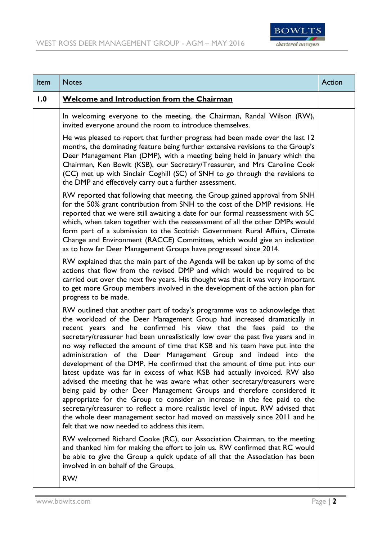

| Item | <b>Notes</b>                                                                                                                                                                                                                                                                                                                                                                                                                                                                                                                                                                                                                                                                                                                                                                                                                                                                                                                                                                                                                                                                    | Action |
|------|---------------------------------------------------------------------------------------------------------------------------------------------------------------------------------------------------------------------------------------------------------------------------------------------------------------------------------------------------------------------------------------------------------------------------------------------------------------------------------------------------------------------------------------------------------------------------------------------------------------------------------------------------------------------------------------------------------------------------------------------------------------------------------------------------------------------------------------------------------------------------------------------------------------------------------------------------------------------------------------------------------------------------------------------------------------------------------|--------|
| 1.0  | <b>Welcome and Introduction from the Chairman</b>                                                                                                                                                                                                                                                                                                                                                                                                                                                                                                                                                                                                                                                                                                                                                                                                                                                                                                                                                                                                                               |        |
|      | In welcoming everyone to the meeting, the Chairman, Randal Wilson (RW),<br>invited everyone around the room to introduce themselves.                                                                                                                                                                                                                                                                                                                                                                                                                                                                                                                                                                                                                                                                                                                                                                                                                                                                                                                                            |        |
|      | He was pleased to report that further progress had been made over the last 12<br>months, the dominating feature being further extensive revisions to the Group's<br>Deer Management Plan (DMP), with a meeting being held in January which the<br>Chairman, Ken Bowlt (KSB), our Secretary/Treasurer, and Mrs Caroline Cook<br>(CC) met up with Sinclair Coghill (SC) of SNH to go through the revisions to<br>the DMP and effectively carry out a further assessment.                                                                                                                                                                                                                                                                                                                                                                                                                                                                                                                                                                                                          |        |
|      | RW reported that following that meeting, the Group gained approval from SNH<br>for the 50% grant contribution from SNH to the cost of the DMP revisions. He<br>reported that we were still awaiting a date for our formal reassessment with SC<br>which, when taken together with the reassessment of all the other DMPs would<br>form part of a submission to the Scottish Government Rural Affairs, Climate<br>Change and Environment (RACCE) Committee, which would give an indication<br>as to how far Deer Management Groups have progressed since 2014.                                                                                                                                                                                                                                                                                                                                                                                                                                                                                                                   |        |
|      | RW explained that the main part of the Agenda will be taken up by some of the<br>actions that flow from the revised DMP and which would be required to be<br>carried out over the next five years. His thought was that it was very important<br>to get more Group members involved in the development of the action plan for<br>progress to be made.                                                                                                                                                                                                                                                                                                                                                                                                                                                                                                                                                                                                                                                                                                                           |        |
|      | RW outlined that another part of today's programme was to acknowledge that<br>the workload of the Deer Management Group had increased dramatically in<br>recent years and he confirmed his view that the fees paid to the<br>secretary/treasurer had been unrealistically low over the past five years and in<br>no way reflected the amount of time that KSB and his team have put into the<br>administration of the Deer Management Group and indeed into the<br>development of the DMP. He confirmed that the amount of time put into our<br>latest update was far in excess of what KSB had actually invoiced. RW also<br>advised the meeting that he was aware what other secretary/treasurers were<br>being paid by other Deer Management Groups and therefore considered it<br>appropriate for the Group to consider an increase in the fee paid to the<br>secretary/treasurer to reflect a more realistic level of input. RW advised that<br>the whole deer management sector had moved on massively since 2011 and he<br>felt that we now needed to address this item. |        |
|      | RW welcomed Richard Cooke (RC), our Association Chairman, to the meeting<br>and thanked him for making the effort to join us. RW confirmed that RC would<br>be able to give the Group a quick update of all that the Association has been<br>involved in on behalf of the Groups.                                                                                                                                                                                                                                                                                                                                                                                                                                                                                                                                                                                                                                                                                                                                                                                               |        |
|      | RW/                                                                                                                                                                                                                                                                                                                                                                                                                                                                                                                                                                                                                                                                                                                                                                                                                                                                                                                                                                                                                                                                             |        |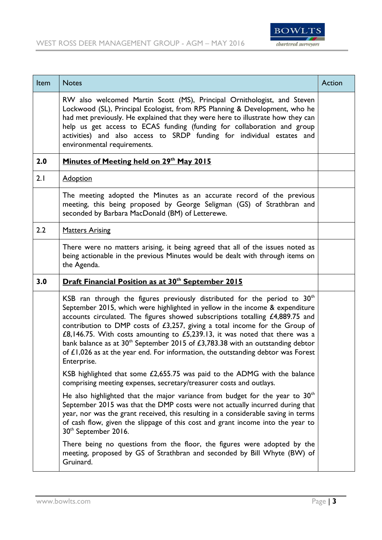

| Item | <b>Notes</b>                                                                                                                                                                                                                                                                                                                                                                                                                                                                                                                                                                                                     | <b>Action</b> |
|------|------------------------------------------------------------------------------------------------------------------------------------------------------------------------------------------------------------------------------------------------------------------------------------------------------------------------------------------------------------------------------------------------------------------------------------------------------------------------------------------------------------------------------------------------------------------------------------------------------------------|---------------|
|      | RW also welcomed Martin Scott (MS), Principal Ornithologist, and Steven<br>Lockwood (SL), Principal Ecologist, from RPS Planning & Development, who he<br>had met previously. He explained that they were here to illustrate how they can<br>help us get access to ECAS funding (funding for collaboration and group<br>activities) and also access to SRDP funding for individual estates and<br>environmental requirements.                                                                                                                                                                                    |               |
| 2.0  | Minutes of Meeting held on 29th May 2015                                                                                                                                                                                                                                                                                                                                                                                                                                                                                                                                                                         |               |
| 2.1  | <b>Adoption</b>                                                                                                                                                                                                                                                                                                                                                                                                                                                                                                                                                                                                  |               |
|      | The meeting adopted the Minutes as an accurate record of the previous<br>meeting, this being proposed by George Seligman (GS) of Strathbran and<br>seconded by Barbara MacDonald (BM) of Letterewe.                                                                                                                                                                                                                                                                                                                                                                                                              |               |
| 2.2  | <b>Matters Arising</b>                                                                                                                                                                                                                                                                                                                                                                                                                                                                                                                                                                                           |               |
|      | There were no matters arising, it being agreed that all of the issues noted as<br>being actionable in the previous Minutes would be dealt with through items on<br>the Agenda.                                                                                                                                                                                                                                                                                                                                                                                                                                   |               |
| 3.0  | Draft Financial Position as at 30 <sup>th</sup> September 2015                                                                                                                                                                                                                                                                                                                                                                                                                                                                                                                                                   |               |
|      | KSB ran through the figures previously distributed for the period to $30th$<br>September 2015, which were highlighted in yellow in the income & expenditure<br>accounts circulated. The figures showed subscriptions totalling £4,889.75 and<br>contribution to DMP costs of $£3,257$ , giving a total income for the Group of<br>£8,146.75. With costs amounting to £5,239.13, it was noted that there was a<br>bank balance as at 30 <sup>th</sup> September 2015 of £3,783.38 with an outstanding debtor<br>of $£1,026$ as at the year end. For information, the outstanding debtor was Forest<br>Enterprise. |               |
|      | KSB highlighted that some £2,655.75 was paid to the ADMG with the balance<br>comprising meeting expenses, secretary/treasurer costs and outlays.                                                                                                                                                                                                                                                                                                                                                                                                                                                                 |               |
|      | He also highlighted that the major variance from budget for the year to $30th$<br>September 2015 was that the DMP costs were not actually incurred during that<br>year, nor was the grant received, this resulting in a considerable saving in terms<br>of cash flow, given the slippage of this cost and grant income into the year to<br>30 <sup>th</sup> September 2016.                                                                                                                                                                                                                                      |               |
|      | There being no questions from the floor, the figures were adopted by the<br>meeting, proposed by GS of Strathbran and seconded by Bill Whyte (BW) of<br>Gruinard.                                                                                                                                                                                                                                                                                                                                                                                                                                                |               |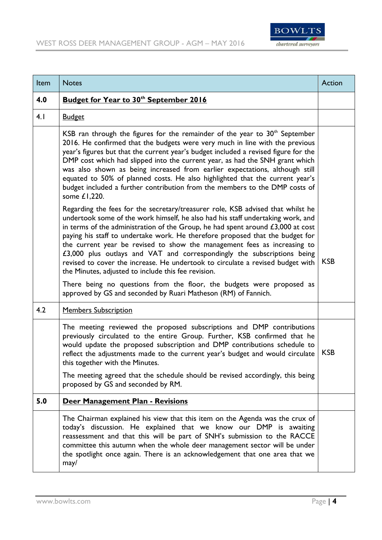

| Item | <b>Notes</b>                                                                                                                                                                                                                                                                                                                                                                                                                                                                                                                                                                                                                             | Action     |
|------|------------------------------------------------------------------------------------------------------------------------------------------------------------------------------------------------------------------------------------------------------------------------------------------------------------------------------------------------------------------------------------------------------------------------------------------------------------------------------------------------------------------------------------------------------------------------------------------------------------------------------------------|------------|
| 4.0  | Budget for Year to 30 <sup>th</sup> September 2016                                                                                                                                                                                                                                                                                                                                                                                                                                                                                                                                                                                       |            |
| 4.1  | <b>Budget</b>                                                                                                                                                                                                                                                                                                                                                                                                                                                                                                                                                                                                                            |            |
|      | KSB ran through the figures for the remainder of the year to $30th$ September<br>2016. He confirmed that the budgets were very much in line with the previous<br>year's figures but that the current year's budget included a revised figure for the<br>DMP cost which had slipped into the current year, as had the SNH grant which<br>was also shown as being increased from earlier expectations, although still<br>equated to 50% of planned costs. He also highlighted that the current year's<br>budget included a further contribution from the members to the DMP costs of<br>some £1,220.                                       |            |
|      | Regarding the fees for the secretary/treasurer role, KSB advised that whilst he<br>undertook some of the work himself, he also had his staff undertaking work, and<br>in terms of the administration of the Group, he had spent around $£3,000$ at cost<br>paying his staff to undertake work. He therefore proposed that the budget for<br>the current year be revised to show the management fees as increasing to<br>£3,000 plus outlays and VAT and correspondingly the subscriptions being<br>revised to cover the increase. He undertook to circulate a revised budget with<br>the Minutes, adjusted to include this fee revision. | <b>KSB</b> |
|      | There being no questions from the floor, the budgets were proposed as<br>approved by GS and seconded by Ruari Matheson (RM) of Fannich.                                                                                                                                                                                                                                                                                                                                                                                                                                                                                                  |            |
| 4.2  | <b>Members Subscription</b>                                                                                                                                                                                                                                                                                                                                                                                                                                                                                                                                                                                                              |            |
|      | The meeting reviewed the proposed subscriptions and DMP contributions<br>previously circulated to the entire Group. Further, KSB confirmed that he<br>would update the proposed subscription and DMP contributions schedule to<br>reflect the adjustments made to the current year's budget and would circulate<br>this together with the Minutes.<br>The meeting agreed that the schedule should be revised accordingly, this being                                                                                                                                                                                                     | <b>KSB</b> |
|      | proposed by GS and seconded by RM.                                                                                                                                                                                                                                                                                                                                                                                                                                                                                                                                                                                                       |            |
| 5.0  | Deer Management Plan - Revisions                                                                                                                                                                                                                                                                                                                                                                                                                                                                                                                                                                                                         |            |
|      | The Chairman explained his view that this item on the Agenda was the crux of<br>today's discussion. He explained that we know our DMP is awaiting<br>reassessment and that this will be part of SNH's submission to the RACCE<br>committee this autumn when the whole deer management sector will be under<br>the spotlight once again. There is an acknowledgement that one area that we<br>may/                                                                                                                                                                                                                                        |            |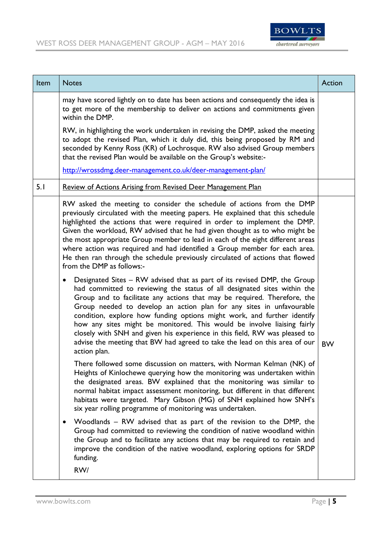

| Item | <b>Notes</b>                                                                                                                                                                                                                                                                                                                                                                                                                                                                                                                                                                                                                               | Action    |
|------|--------------------------------------------------------------------------------------------------------------------------------------------------------------------------------------------------------------------------------------------------------------------------------------------------------------------------------------------------------------------------------------------------------------------------------------------------------------------------------------------------------------------------------------------------------------------------------------------------------------------------------------------|-----------|
|      | may have scored lightly on to date has been actions and consequently the idea is<br>to get more of the membership to deliver on actions and commitments given<br>within the DMP.                                                                                                                                                                                                                                                                                                                                                                                                                                                           |           |
|      | RW, in highlighting the work undertaken in revising the DMP, asked the meeting<br>to adopt the revised Plan, which it duly did, this being proposed by RM and<br>seconded by Kenny Ross (KR) of Lochrosque. RW also advised Group members<br>that the revised Plan would be available on the Group's website:-                                                                                                                                                                                                                                                                                                                             |           |
|      | http://wrossdmg.deer-management.co.uk/deer-management-plan/                                                                                                                                                                                                                                                                                                                                                                                                                                                                                                                                                                                |           |
| 5.1  | Review of Actions Arising from Revised Deer Management Plan                                                                                                                                                                                                                                                                                                                                                                                                                                                                                                                                                                                |           |
|      | RW asked the meeting to consider the schedule of actions from the DMP<br>previously circulated with the meeting papers. He explained that this schedule<br>highlighted the actions that were required in order to implement the DMP.<br>Given the workload, RW advised that he had given thought as to who might be<br>the most appropriate Group member to lead in each of the eight different areas<br>where action was required and had identified a Group member for each area.<br>He then ran through the schedule previously circulated of actions that flowed<br>from the DMP as follows:-                                          |           |
|      | Designated Sites – RW advised that as part of its revised DMP, the Group<br>had committed to reviewing the status of all designated sites within the<br>Group and to facilitate any actions that may be required. Therefore, the<br>Group needed to develop an action plan for any sites in unfavourable<br>condition, explore how funding options might work, and further identify<br>how any sites might be monitored. This would be involve liaising fairly<br>closely with SNH and given his experience in this field, RW was pleased to<br>advise the meeting that BW had agreed to take the lead on this area of our<br>action plan. | <b>BW</b> |
|      | There followed some discussion on matters, with Norman Kelman (NK) of<br>Heights of Kinlochewe querying how the monitoring was undertaken within<br>the designated areas. BW explained that the monitoring was similar to<br>normal habitat impact assessment monitoring, but different in that different<br>habitats were targeted. Mary Gibson (MG) of SNH explained how SNH's<br>six year rolling programme of monitoring was undertaken.                                                                                                                                                                                               |           |
|      | Woodlands – RW advised that as part of the revision to the DMP, the<br>$\bullet$<br>Group had committed to reviewing the condition of native woodland within<br>the Group and to facilitate any actions that may be required to retain and<br>improve the condition of the native woodland, exploring options for SRDP<br>funding.<br>RW/                                                                                                                                                                                                                                                                                                  |           |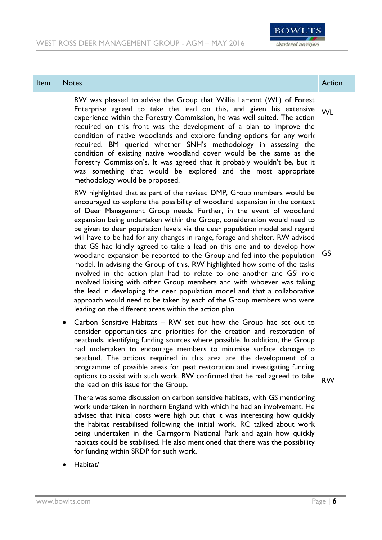

| Item | <b>Notes</b>                                                                                                                                                                                                                                                                                                                                                                                                                                                                                                                                                                                                                                                                                                                                                                                                                                                                                                                                                                                                                                                                | <b>Action</b> |
|------|-----------------------------------------------------------------------------------------------------------------------------------------------------------------------------------------------------------------------------------------------------------------------------------------------------------------------------------------------------------------------------------------------------------------------------------------------------------------------------------------------------------------------------------------------------------------------------------------------------------------------------------------------------------------------------------------------------------------------------------------------------------------------------------------------------------------------------------------------------------------------------------------------------------------------------------------------------------------------------------------------------------------------------------------------------------------------------|---------------|
|      | RW was pleased to advise the Group that Willie Lamont (WL) of Forest<br>Enterprise agreed to take the lead on this, and given his extensive<br>experience within the Forestry Commission, he was well suited. The action<br>required on this front was the development of a plan to improve the<br>condition of native woodlands and explore funding options for any work<br>required. BM queried whether SNH's methodology in assessing the<br>condition of existing native woodland cover would be the same as the<br>Forestry Commission's. It was agreed that it probably wouldn't be, but it<br>was something that would be explored and the most appropriate<br>methodology would be proposed.                                                                                                                                                                                                                                                                                                                                                                        | <b>WL</b>     |
|      | RW highlighted that as part of the revised DMP, Group members would be<br>encouraged to explore the possibility of woodland expansion in the context<br>of Deer Management Group needs. Further, in the event of woodland<br>expansion being undertaken within the Group, consideration would need to<br>be given to deer population levels via the deer population model and regard<br>will have to be had for any changes in range, forage and shelter. RW advised<br>that GS had kindly agreed to take a lead on this one and to develop how<br>woodland expansion be reported to the Group and fed into the population<br>model. In advising the Group of this, RW highlighted how some of the tasks<br>involved in the action plan had to relate to one another and GS' role<br>involved liaising with other Group members and with whoever was taking<br>the lead in developing the deer population model and that a collaborative<br>approach would need to be taken by each of the Group members who were<br>leading on the different areas within the action plan. | GS            |
|      | Carbon Sensitive Habitats - RW set out how the Group had set out to<br>$\bullet$<br>consider opportunities and priorities for the creation and restoration of<br>peatlands, identifying funding sources where possible. In addition, the Group<br>had undertaken to encourage members to minimise surface damage to<br>peatland. The actions required in this area are the development of a<br>programme of possible areas for peat restoration and investigating funding<br>options to assist with such work. RW confirmed that he had agreed to take<br>the lead on this issue for the Group.<br>There was some discussion on carbon sensitive habitats, with GS mentioning                                                                                                                                                                                                                                                                                                                                                                                               | <b>RW</b>     |
|      | work undertaken in northern England with which he had an involvement. He<br>advised that initial costs were high but that it was interesting how quickly<br>the habitat restabilised following the initial work. RC talked about work<br>being undertaken in the Cairngorm National Park and again how quickly<br>habitats could be stabilised. He also mentioned that there was the possibility<br>for funding within SRDP for such work.                                                                                                                                                                                                                                                                                                                                                                                                                                                                                                                                                                                                                                  |               |
|      | Habitat/                                                                                                                                                                                                                                                                                                                                                                                                                                                                                                                                                                                                                                                                                                                                                                                                                                                                                                                                                                                                                                                                    |               |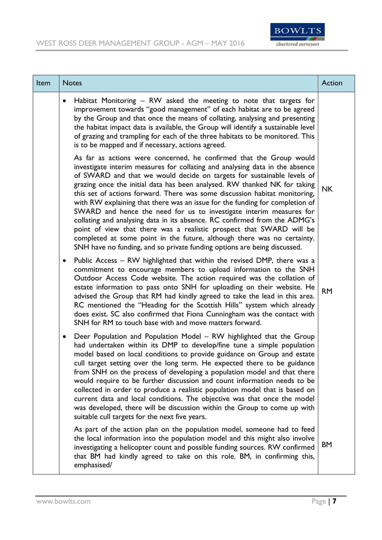

| Item | <b>Notes</b>                                                                                                                                                                                                                                                                                                                                                                                                                                                                                                                                                                                                                                                                                                                                                                                                                                                | <b>Action</b> |
|------|-------------------------------------------------------------------------------------------------------------------------------------------------------------------------------------------------------------------------------------------------------------------------------------------------------------------------------------------------------------------------------------------------------------------------------------------------------------------------------------------------------------------------------------------------------------------------------------------------------------------------------------------------------------------------------------------------------------------------------------------------------------------------------------------------------------------------------------------------------------|---------------|
|      | Habitat Monitoring – RW asked the meeting to note that targets for<br>$\bullet$<br>improvement towards "good management" of each habitat are to be agreed<br>by the Group and that once the means of collating, analysing and presenting<br>the habitat impact data is available, the Group will identify a sustainable level<br>of grazing and trampling for each of the three habitats to be monitored. This<br>is to be mapped and if necessary, actions agreed.                                                                                                                                                                                                                                                                                                                                                                                         |               |
|      | As far as actions were concerned, he confirmed that the Group would<br>investigate interim measures for collating and analysing data in the absence<br>of SWARD and that we would decide on targets for sustainable levels of<br>grazing once the initial data has been analysed. RW thanked NK for taking<br>this set of actions forward. There was some discussion habitat monitoring,<br>with RW explaining that there was an issue for the funding for completion of<br>SWARD and hence the need for us to investigate interim measures for<br>collating and analysing data in its absence. RC confirmed from the ADMG's<br>point of view that there was a realistic prospect that SWARD will be<br>completed at some point in the future, although there was no certainty.<br>SNH have no funding, and so private funding options are being discussed. | <b>NK</b>     |
|      | Public Access - RW highlighted that within the revised DMP, there was a<br>$\bullet$<br>commitment to encourage members to upload information to the SNH<br>Outdoor Access Code website. The action required was the collation of<br>estate information to pass onto SNH for uploading on their website. He<br>advised the Group that RM had kindly agreed to take the lead in this area.<br>RC mentioned the "Heading for the Scottish Hills" system which already<br>does exist. SC also confirmed that Fiona Cunningham was the contact with<br>SNH for RM to touch base with and move matters forward.                                                                                                                                                                                                                                                  | <b>RM</b>     |
|      | Deer Population and Population Model - RW highlighted that the Group<br>$\bullet$<br>had undertaken within its DMP to develop/fine tune a simple population<br>model based on local conditions to provide guidance on Group and estate<br>cull target setting over the long term. He expected there to be guidance<br>from SNH on the process of developing a population model and that there<br>would require to be further discussion and count information needs to be<br>collected in order to produce a realistic population model that is based on<br>current data and local conditions. The objective was that once the model<br>was developed, there will be discussion within the Group to come up with<br>suitable cull targets for the next five years.                                                                                          |               |
|      | As part of the action plan on the population model, someone had to feed<br>the local information into the population model and this might also involve<br>investigating a helicopter count and possible funding sources. RW confirmed<br>that BM had kindly agreed to take on this role. BM, in confirming this,<br>emphasised/                                                                                                                                                                                                                                                                                                                                                                                                                                                                                                                             | ΒM            |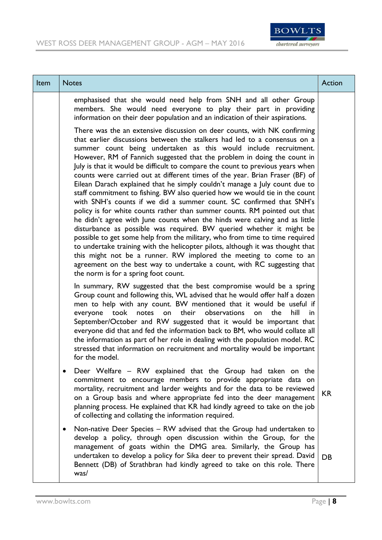

| Item | <b>Notes</b>                                                                                                                                                                                                                                                                                                                                                                                                                                                                                                                                                                                                                                                                                                                                                                                                                                                                                                                                                                                                                                                                                                                                                                                                                                                                                          | <b>Action</b> |
|------|-------------------------------------------------------------------------------------------------------------------------------------------------------------------------------------------------------------------------------------------------------------------------------------------------------------------------------------------------------------------------------------------------------------------------------------------------------------------------------------------------------------------------------------------------------------------------------------------------------------------------------------------------------------------------------------------------------------------------------------------------------------------------------------------------------------------------------------------------------------------------------------------------------------------------------------------------------------------------------------------------------------------------------------------------------------------------------------------------------------------------------------------------------------------------------------------------------------------------------------------------------------------------------------------------------|---------------|
|      | emphasised that she would need help from SNH and all other Group<br>members. She would need everyone to play their part in providing<br>information on their deer population and an indication of their aspirations.                                                                                                                                                                                                                                                                                                                                                                                                                                                                                                                                                                                                                                                                                                                                                                                                                                                                                                                                                                                                                                                                                  |               |
|      | There was the an extensive discussion on deer counts, with NK confirming<br>that earlier discussions between the stalkers had led to a consensus on a<br>summer count being undertaken as this would include recruitment.<br>However, RM of Fannich suggested that the problem in doing the count in<br>July is that it would be difficult to compare the count to previous years when<br>counts were carried out at different times of the year. Brian Fraser (BF) of<br>Eilean Darach explained that he simply couldn't manage a July count due to<br>staff commitment to fishing. BW also queried how we would tie in the count<br>with SNH's counts if we did a summer count. SC confirmed that SNH's<br>policy is for white counts rather than summer counts. RM pointed out that<br>he didn't agree with June counts when the hinds were calving and as little<br>disturbance as possible was required. BW queried whether it might be<br>possible to get some help from the military, who from time to time required<br>to undertake training with the helicopter pilots, although it was thought that<br>this might not be a runner. RW implored the meeting to come to an<br>agreement on the best way to undertake a count, with RC suggesting that<br>the norm is for a spring foot count. |               |
|      | In summary, RW suggested that the best compromise would be a spring<br>Group count and following this, WL advised that he would offer half a dozen<br>men to help with any count. BW mentioned that it would be useful if<br>observations<br>took<br>notes<br>on their<br>the<br>hill<br>everyone<br>on<br>in.<br>September/October and RW suggested that it would be important that<br>everyone did that and fed the information back to BM, who would collate all<br>the information as part of her role in dealing with the population model. RC<br>stressed that information on recruitment and mortality would be important<br>for the model.                                                                                                                                                                                                                                                                                                                                                                                                                                                                                                                                                                                                                                                    |               |
|      | Deer Welfare - RW explained that the Group had taken on the<br>$\bullet$<br>commitment to encourage members to provide appropriate data on<br>mortality, recruitment and larder weights and for the data to be reviewed<br>on a Group basis and where appropriate fed into the deer management<br>planning process. He explained that KR had kindly agreed to take on the job<br>of collecting and collating the information required.                                                                                                                                                                                                                                                                                                                                                                                                                                                                                                                                                                                                                                                                                                                                                                                                                                                                | <b>KR</b>     |
|      | Non-native Deer Species - RW advised that the Group had undertaken to<br>$\bullet$<br>develop a policy, through open discussion within the Group, for the<br>management of goats within the DMG area. Similarly, the Group has<br>undertaken to develop a policy for Sika deer to prevent their spread. David<br>Bennett (DB) of Strathbran had kindly agreed to take on this role. There<br>was/                                                                                                                                                                                                                                                                                                                                                                                                                                                                                                                                                                                                                                                                                                                                                                                                                                                                                                     | DB            |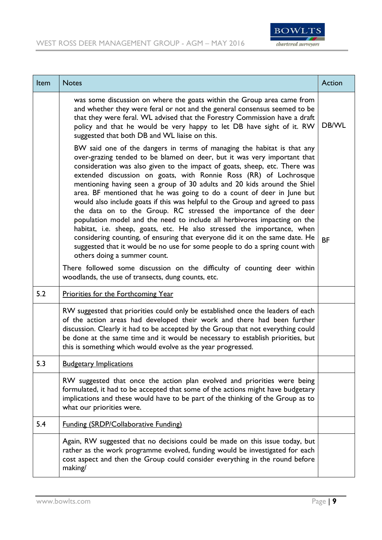

| Item | <b>Notes</b>                                                                                                                                                                                                                                                                                                                                                                                                                                                                                                                                                                                                                                                                                                                                                                                                                                                                                                                                                         | <b>Action</b> |
|------|----------------------------------------------------------------------------------------------------------------------------------------------------------------------------------------------------------------------------------------------------------------------------------------------------------------------------------------------------------------------------------------------------------------------------------------------------------------------------------------------------------------------------------------------------------------------------------------------------------------------------------------------------------------------------------------------------------------------------------------------------------------------------------------------------------------------------------------------------------------------------------------------------------------------------------------------------------------------|---------------|
|      | was some discussion on where the goats within the Group area came from<br>and whether they were feral or not and the general consensus seemed to be<br>that they were feral. WL advised that the Forestry Commission have a draft<br>policy and that he would be very happy to let DB have sight of it. RW<br>suggested that both DB and WL liaise on this.                                                                                                                                                                                                                                                                                                                                                                                                                                                                                                                                                                                                          | DB/WL         |
|      | BW said one of the dangers in terms of managing the habitat is that any<br>over-grazing tended to be blamed on deer, but it was very important that<br>consideration was also given to the impact of goats, sheep, etc. There was<br>extended discussion on goats, with Ronnie Ross (RR) of Lochrosque<br>mentioning having seen a group of 30 adults and 20 kids around the Shiel<br>area. BF mentioned that he was going to do a count of deer in June but<br>would also include goats if this was helpful to the Group and agreed to pass<br>the data on to the Group. RC stressed the importance of the deer<br>population model and the need to include all herbivores impacting on the<br>habitat, i.e. sheep, goats, etc. He also stressed the importance, when<br>considering counting, of ensuring that everyone did it on the same date. He<br>suggested that it would be no use for some people to do a spring count with<br>others doing a summer count. | <b>BF</b>     |
|      | There followed some discussion on the difficulty of counting deer within<br>woodlands, the use of transects, dung counts, etc.                                                                                                                                                                                                                                                                                                                                                                                                                                                                                                                                                                                                                                                                                                                                                                                                                                       |               |
| 5.2  | Priorities for the Forthcoming Year                                                                                                                                                                                                                                                                                                                                                                                                                                                                                                                                                                                                                                                                                                                                                                                                                                                                                                                                  |               |
|      | RW suggested that priorities could only be established once the leaders of each<br>of the action areas had developed their work and there had been further<br>discussion. Clearly it had to be accepted by the Group that not everything could<br>be done at the same time and it would be necessary to establish priorities, but<br>this is something which would evolve as the year progressed.                                                                                                                                                                                                                                                                                                                                                                                                                                                                                                                                                                    |               |
| 5.3  | <b>Budgetary Implications</b>                                                                                                                                                                                                                                                                                                                                                                                                                                                                                                                                                                                                                                                                                                                                                                                                                                                                                                                                        |               |
|      | RW suggested that once the action plan evolved and priorities were being<br>formulated, it had to be accepted that some of the actions might have budgetary<br>implications and these would have to be part of the thinking of the Group as to<br>what our priorities were.                                                                                                                                                                                                                                                                                                                                                                                                                                                                                                                                                                                                                                                                                          |               |
| 5.4  | <b>Funding (SRDP/Collaborative Funding)</b>                                                                                                                                                                                                                                                                                                                                                                                                                                                                                                                                                                                                                                                                                                                                                                                                                                                                                                                          |               |
|      | Again, RW suggested that no decisions could be made on this issue today, but<br>rather as the work programme evolved, funding would be investigated for each<br>cost aspect and then the Group could consider everything in the round before<br>making/                                                                                                                                                                                                                                                                                                                                                                                                                                                                                                                                                                                                                                                                                                              |               |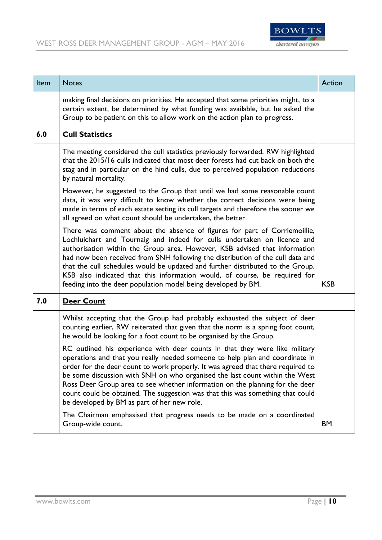

| Item | <b>Notes</b>                                                                                                                                                                                                                                                                                                                                                                                                                                                                                                                                           | Action     |
|------|--------------------------------------------------------------------------------------------------------------------------------------------------------------------------------------------------------------------------------------------------------------------------------------------------------------------------------------------------------------------------------------------------------------------------------------------------------------------------------------------------------------------------------------------------------|------------|
|      | making final decisions on priorities. He accepted that some priorities might, to a<br>certain extent, be determined by what funding was available, but he asked the<br>Group to be patient on this to allow work on the action plan to progress.                                                                                                                                                                                                                                                                                                       |            |
| 6.0  | <b>Cull Statistics</b>                                                                                                                                                                                                                                                                                                                                                                                                                                                                                                                                 |            |
|      | The meeting considered the cull statistics previously forwarded. RW highlighted<br>that the 2015/16 culls indicated that most deer forests had cut back on both the<br>stag and in particular on the hind culls, due to perceived population reductions<br>by natural mortality.                                                                                                                                                                                                                                                                       |            |
|      | However, he suggested to the Group that until we had some reasonable count<br>data, it was very difficult to know whether the correct decisions were being<br>made in terms of each estate setting its cull targets and therefore the sooner we<br>all agreed on what count should be undertaken, the better.                                                                                                                                                                                                                                          |            |
|      | There was comment about the absence of figures for part of Corriemoillie,<br>Lochluichart and Tournaig and indeed for culls undertaken on licence and<br>authorisation within the Group area. However, KSB advised that information<br>had now been received from SNH following the distribution of the cull data and<br>that the cull schedules would be updated and further distributed to the Group.<br>KSB also indicated that this information would, of course, be required for<br>feeding into the deer population model being developed by BM. | <b>KSB</b> |
| 7.0  | <b>Deer Count</b>                                                                                                                                                                                                                                                                                                                                                                                                                                                                                                                                      |            |
|      | Whilst accepting that the Group had probably exhausted the subject of deer<br>counting earlier, RW reiterated that given that the norm is a spring foot count,<br>he would be looking for a foot count to be organised by the Group.                                                                                                                                                                                                                                                                                                                   |            |
|      | RC outlined his experience with deer counts in that they were like military<br>operations and that you really needed someone to help plan and coordinate in<br>order for the deer count to work properly. It was agreed that there required to<br>be some discussion with SNH on who organised the last count within the West<br>Ross Deer Group area to see whether information on the planning for the deer<br>count could be obtained. The suggestion was that this was something that could<br>be developed by BM as part of her new role.         |            |
|      | The Chairman emphasised that progress needs to be made on a coordinated<br>Group-wide count.                                                                                                                                                                                                                                                                                                                                                                                                                                                           | ΒM         |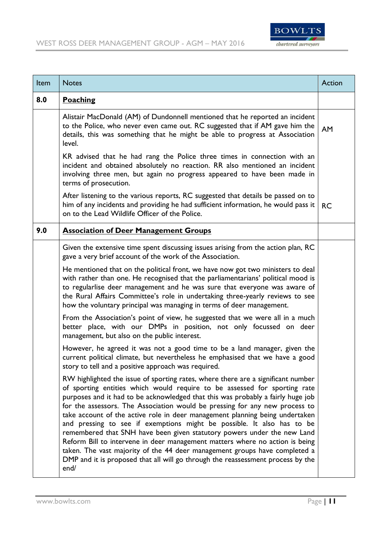

| Item | <b>Notes</b>                                                                                                                                                                                                                                                                                                                                                                                                                                                                                                                                                                                                                                                                                                                                                                                                                  | Action    |
|------|-------------------------------------------------------------------------------------------------------------------------------------------------------------------------------------------------------------------------------------------------------------------------------------------------------------------------------------------------------------------------------------------------------------------------------------------------------------------------------------------------------------------------------------------------------------------------------------------------------------------------------------------------------------------------------------------------------------------------------------------------------------------------------------------------------------------------------|-----------|
| 8.0  | <b>Poaching</b>                                                                                                                                                                                                                                                                                                                                                                                                                                                                                                                                                                                                                                                                                                                                                                                                               |           |
|      | Alistair MacDonald (AM) of Dundonnell mentioned that he reported an incident<br>to the Police, who never even came out. RC suggested that if AM gave him the<br>details, this was something that he might be able to progress at Association<br>level.                                                                                                                                                                                                                                                                                                                                                                                                                                                                                                                                                                        | <b>AM</b> |
|      | KR advised that he had rang the Police three times in connection with an<br>incident and obtained absolutely no reaction. RR also mentioned an incident<br>involving three men, but again no progress appeared to have been made in<br>terms of prosecution.                                                                                                                                                                                                                                                                                                                                                                                                                                                                                                                                                                  |           |
|      | After listening to the various reports, RC suggested that details be passed on to<br>him of any incidents and providing he had sufficient information, he would pass it<br>on to the Lead Wildlife Officer of the Police.                                                                                                                                                                                                                                                                                                                                                                                                                                                                                                                                                                                                     | <b>RC</b> |
| 9.0  | <b>Association of Deer Management Groups</b>                                                                                                                                                                                                                                                                                                                                                                                                                                                                                                                                                                                                                                                                                                                                                                                  |           |
|      | Given the extensive time spent discussing issues arising from the action plan, RC<br>gave a very brief account of the work of the Association.                                                                                                                                                                                                                                                                                                                                                                                                                                                                                                                                                                                                                                                                                |           |
|      | He mentioned that on the political front, we have now got two ministers to deal<br>with rather than one. He recognised that the parliamentarians' political mood is<br>to regularlise deer management and he was sure that everyone was aware of<br>the Rural Affairs Committee's role in undertaking three-yearly reviews to see<br>how the voluntary principal was managing in terms of deer management.                                                                                                                                                                                                                                                                                                                                                                                                                    |           |
|      | From the Association's point of view, he suggested that we were all in a much<br>better place, with our DMPs in position, not only focussed on deer<br>management, but also on the public interest.                                                                                                                                                                                                                                                                                                                                                                                                                                                                                                                                                                                                                           |           |
|      | However, he agreed it was not a good time to be a land manager, given the<br>current political climate, but nevertheless he emphasised that we have a good<br>story to tell and a positive approach was required.                                                                                                                                                                                                                                                                                                                                                                                                                                                                                                                                                                                                             |           |
|      | RW highlighted the issue of sporting rates, where there are a significant number<br>of sporting entities which would require to be assessed for sporting rate<br>purposes and it had to be acknowledged that this was probably a fairly huge job<br>for the assessors. The Association would be pressing for any new process to<br>take account of the active role in deer management planning being undertaken<br>and pressing to see if exemptions might be possible. It also has to be<br>remembered that SNH have been given statutory powers under the new Land<br>Reform Bill to intervene in deer management matters where no action is being<br>taken. The vast majority of the 44 deer management groups have completed a<br>DMP and it is proposed that all will go through the reassessment process by the<br>end/ |           |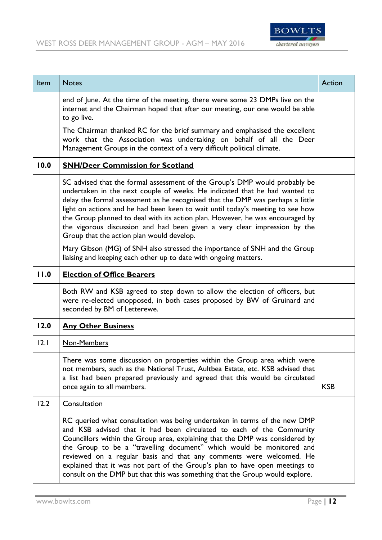

| Item | <b>Notes</b>                                                                                                                                                                                                                                                                                                                                                                                                                                                                                                                                    | Action     |
|------|-------------------------------------------------------------------------------------------------------------------------------------------------------------------------------------------------------------------------------------------------------------------------------------------------------------------------------------------------------------------------------------------------------------------------------------------------------------------------------------------------------------------------------------------------|------------|
|      | end of June. At the time of the meeting, there were some 23 DMPs live on the<br>internet and the Chairman hoped that after our meeting, our one would be able<br>to go live.                                                                                                                                                                                                                                                                                                                                                                    |            |
|      | The Chairman thanked RC for the brief summary and emphasised the excellent<br>work that the Association was undertaking on behalf of all the Deer<br>Management Groups in the context of a very difficult political climate.                                                                                                                                                                                                                                                                                                                    |            |
| 10.0 | <b>SNH/Deer Commission for Scotland</b>                                                                                                                                                                                                                                                                                                                                                                                                                                                                                                         |            |
|      | SC advised that the formal assessment of the Group's DMP would probably be<br>undertaken in the next couple of weeks. He indicated that he had wanted to<br>delay the formal assessment as he recognised that the DMP was perhaps a little<br>light on actions and he had been keen to wait until today's meeting to see how<br>the Group planned to deal with its action plan. However, he was encouraged by<br>the vigorous discussion and had been given a very clear impression by the<br>Group that the action plan would develop.         |            |
|      | Mary Gibson (MG) of SNH also stressed the importance of SNH and the Group<br>liaising and keeping each other up to date with ongoing matters.                                                                                                                                                                                                                                                                                                                                                                                                   |            |
| 11.0 | <b>Election of Office Bearers</b>                                                                                                                                                                                                                                                                                                                                                                                                                                                                                                               |            |
|      | Both RW and KSB agreed to step down to allow the election of officers, but<br>were re-elected unopposed, in both cases proposed by BW of Gruinard and<br>seconded by BM of Letterewe.                                                                                                                                                                                                                                                                                                                                                           |            |
| 12.0 | <b>Any Other Business</b>                                                                                                                                                                                                                                                                                                                                                                                                                                                                                                                       |            |
| 2.1  | Non-Members                                                                                                                                                                                                                                                                                                                                                                                                                                                                                                                                     |            |
|      | There was some discussion on properties within the Group area which were<br>not members, such as the National Trust, Aultbea Estate, etc. KSB advised that<br>a list had been prepared previously and agreed that this would be circulated<br>once again to all members.                                                                                                                                                                                                                                                                        | <b>KSB</b> |
| 12.2 | Consultation                                                                                                                                                                                                                                                                                                                                                                                                                                                                                                                                    |            |
|      | RC queried what consultation was being undertaken in terms of the new DMP<br>and KSB advised that it had been circulated to each of the Community<br>Councillors within the Group area, explaining that the DMP was considered by<br>the Group to be a "travelling document" which would be monitored and<br>reviewed on a regular basis and that any comments were welcomed. He<br>explained that it was not part of the Group's plan to have open meetings to<br>consult on the DMP but that this was something that the Group would explore. |            |